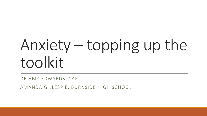# Anxiety – topping up the toolkit

DR AMY EDWARDS, CAF

AMANDA GILLESPIE, BURNSIDE HIGH SCHOOL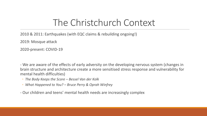#### The Christchurch Context

2010 & 2011: Earthquakes (with EQC claims & rebuilding ongoing!)

2019: Mosque attack

2020-present: COVID-19

- We are aware of the effects of early adversity on the developing nervous system (changes in brain structure and architecture create a more sensitised stress response and vulnerability for mental health difficulties)

- *The Body Keeps the Score – Bessel Van der Kolk*
- *What Happened to You? – Bruce Perry & Oprah Winfrey*
- Our children and teens' mental health needs are increasingly complex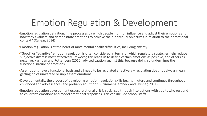## Emotion Regulation & Development

- •Emotion regulation definition: "the processes by which people monitor, influence and adjust their emotions and how they evaluate and demonstrate emotions to achieve their individual objectives in relation to their emotional context" (Callear, 2014)
- •Emotion regulation is at the heart of most mental health difficulties, including anxiety
- •"Good" or "adaptive" emotion regulation is often considered in terms of which regulatory strategies help reduce subjective distress most effectively. *However,* this leads us to define certain emotions as positive, and others as negative. Kashdan and Rottenberg (2010) advised caution against this, because doing so undermines the functional nature of emotions.
- •*All* emotions have a functional basis and all need to be regulated effectively *–* regulation does not always mean getting rid of unwanted or unpleasant emotions
- •Developmentally, the process of developing emotion regulation skills begins in utero and continues throughout childhood and adolescence (and probably adulthood!) (Zimmer-Gembeck and Skinner, 2011)
- •Emotion regulation development occurs relationally; it is socialised through interactions with adults who respond to children's emotions and model emotional responses. This can include school staff!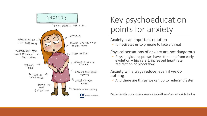

#### Key psychoeducation points for anxiety

#### Anxiety is an important emotion

◦ It motivates us to prepare to face a threat

#### Physical sensations of anxiety are not dangerous

◦ Physiological responses have stemmed from early evolution – high alert, increased heart rate, redirection of blood flow

#### Anxiety will always reduce, even if we do nothing

◦ And there are things we can do to reduce it faster

Psychoeducation resource from www.melonhealth.com/manual/anxiety-toolbox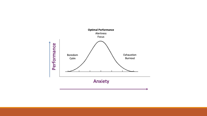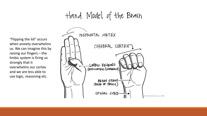Hand Model of the Brain

"Flipping the lid" occurs when anxiety overwhelms us. We can imagine this by raising our fingers – the limbic system is firing so strongly that it overwhelms our cortex and we are less able to use logic, reasoning etc.

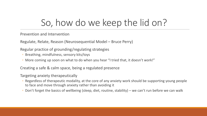### So, how do we keep the lid on?

Prevention and Intervention

Regulate, Relate, Reason (Neurosequential Model – Bruce Perry)

Regular practice of grounding/regulating strategies

- Breathing, mindfulness, sensory kits/toys
- More coming up soon on what to do when you hear "I tried that, it doesn't work!"

Creating a safe & calm space, being a regulated presence

Targeting anxiety therapeutically

- Regardless of therapeutic modality, at the core of any anxiety work should be supporting young people to face and move through anxiety rather than avoiding it
- Don't forget the basics of wellbeing (sleep, diet, routine, stability) we can't run before we can walk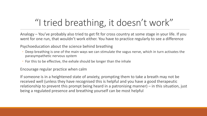# "I tried breathing, it doesn't work"

Analogy – You've probably also tried to get fit for cross country at some stage in your life. If you went for one run, that wouldn't work either. You have to practice regularly to see a difference

Psychoeducation about the science behind breathing

- Deep breathing is one of the main ways we can stimulate the vagus nerve, which in turn activates the parasympathetic nervous system
- For this to be effective, the exhale should be longer than the inhale

Encourage regular practice when calm

If someone is in a heightened state of anxiety, prompting them to take a breath may not be received well (unless they have recognised this is helpful and you have a good therapeutic relationship to prevent this prompt being heard in a patronising manner) – in this situation, just being a regulated presence and breathing yourself can be most helpful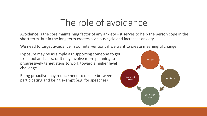### The role of avoidance

Avoidance is the core maintaining factor of any anxiety – it serves to help the person cope in the short term, but in the long term creates a vicious cycle and increases anxiety

We need to target avoidance in our interventions if we want to create meaningful change

Exposure may be as simple as supporting someone to get to school and class, or it may involve more planning to progressively target steps to work toward a higher level challenge

Being proactive may reduce need to decide between participating and being exempt (e.g. for speeches)

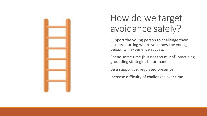

### How do we target avoidance safely?

Support the young person to challenge their anxiety, starting where you know the young person will experience success

Spend some time (but not too much!) practicing grounding strategies beforehand

Be a supportive, regulated presence

Increase difficulty of challenges over time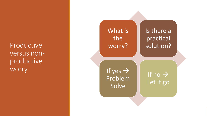Productive versus non productive worry

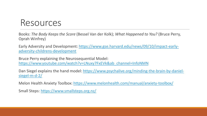#### Resources

Books: *The Body Keeps the Score* (Bessel Van der Kolk); *What Happened to You?* (Bruce Perry, Oprah Winfrey)

[Early Adversity and Development: https://www.gse.harvard.edu/news/09/10/impact-early](https://www.gse.harvard.edu/news/09/10/impact-early-adversity-childrens-development)adversity-childrens-development

Bruce Perry explaining the Neurosequential Model: [https://www.youtube.com/watch?v=LNuxy7FxEVk&ab\\_channel=InfoNMN](https://www.youtube.com/watch?v=LNuxy7FxEVk&ab_channel=InfoNMN)

[Dan Siegel explains the hand model: https://www.psychalive.org/minding-the-brain-by-daniel](https://www.psychalive.org/minding-the-brain-by-daniel-siegel-m-d-2/)siegel-m-d-2/

Melon Health Anxiety Toolbox:<https://www.melonhealth.com/manual/anxiety-toolbox/>

Small Steps: <https://www.smallsteps.org.nz/>